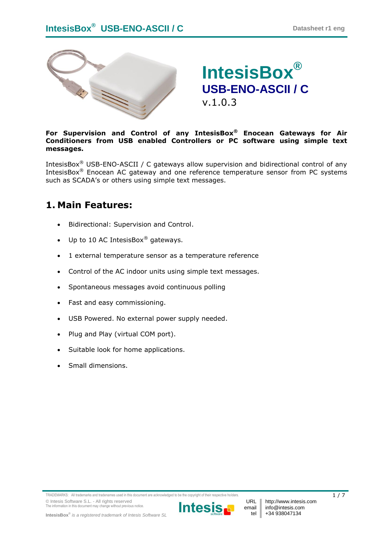

# **IntesisBox® USB-ENO-ASCII / C** v.1.0.3

#### **For Supervision and Control of any IntesisBox® Enocean Gateways for Air Conditioners from USB enabled Controllers or PC software using simple text messages.**

IntesisBox® USB-ENO-ASCII / C gateways allow supervision and bidirectional control of any IntesisBox® Enocean AC gateway and one reference temperature sensor from PC systems such as SCADA's or others using simple text messages.

## **1. Main Features:**

- Bidirectional: Supervision and Control.
- Up to 10 AC IntesisBox<sup>®</sup> gateways.
- 1 external temperature sensor as a temperature reference
- Control of the AC indoor units using simple text messages.
- Spontaneous messages avoid continuous polling
- Fast and easy commissioning.
- USB Powered. No external power supply needed.
- Plug and Play (virtual COM port).
- Suitable look for home applications.
- Small dimensions.



URL email tel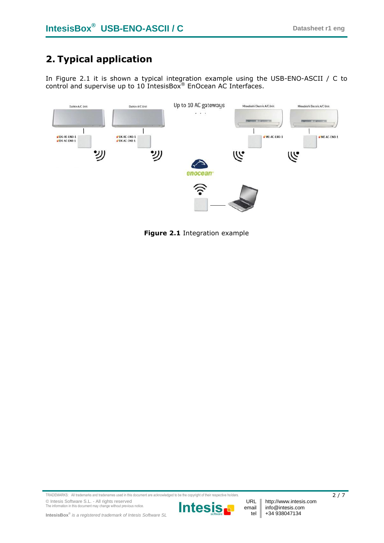## **2. Typical application**

In [Figure 2.1](#page-1-0) it is shown a typical integration example using the USB-ENO-ASCII / C to control and supervise up to 10 IntesisBox® EnOcean AC Interfaces.



<span id="page-1-0"></span>**Figure 2.1** Integration example

TRADEMARKS: All trademarks and tradenames used in this document are acknowledged to be the copyright of their respective holders. 2 / 7 7 © Intesis Software S.L. - All rights reserved The information in this document may change without previous notice.



http://www.intesis.com info@intesis.com +34 938047134

URL email tel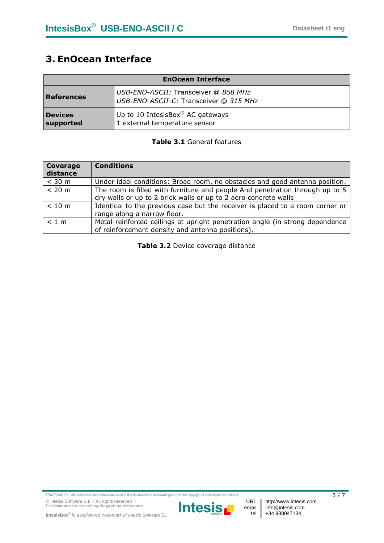### **3. EnOcean Interface**

| <b>EnOcean Interface</b>    |                                                                                |
|-----------------------------|--------------------------------------------------------------------------------|
| <b>References</b>           | USB-ENO-ASCII: Transceiver @ 868 MHz<br>USB-ENO-ASCII-C: Transceiver @ 315 MHz |
| <b>Devices</b><br>supported | Up to 10 IntesisBox <sup>®</sup> AC gateways<br>1 external temperature sensor  |

#### **Table 3.1** General features

| Coverage<br>distance | <b>Conditions</b>                                                                                                                               |
|----------------------|-------------------------------------------------------------------------------------------------------------------------------------------------|
| $<$ 30 m             | Under ideal conditions: Broad room, no obstacles and good antenna position.                                                                     |
| < 20 m               | The room is filled with furniture and people And penetration through up to 5<br>dry walls or up to 2 brick walls or up to 2 aero concrete walls |
| < 10 m               | Identical to the previous case but the receiver is placed to a room corner or<br>range along a narrow floor.                                    |
| < 1 m                | Metal-reinforced ceilings at upright penetration angle (in strong dependence<br>of reinforcement density and antenna positions).                |

**Table 3.2** Device coverage distance

TRADEMARKS: All trademarks and tradenames used in this document are acknowledged to be the copyright of their respective holders. 3 / 7 © Intesis Software S.L. - All rights reserved The information in this document may change without previous notice.



email tel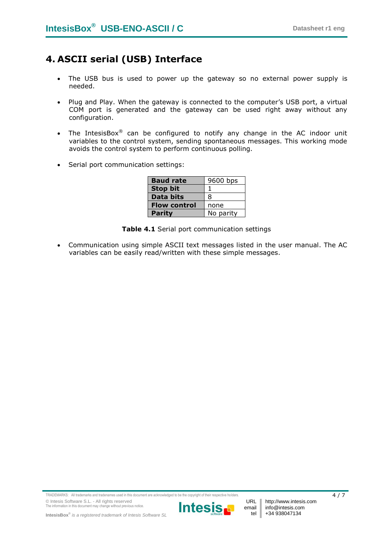## **4. ASCII serial (USB) Interface**

- The USB bus is used to power up the gateway so no external power supply is needed.
- Plug and Play. When the gateway is connected to the computer's USB port, a virtual COM port is generated and the gateway can be used right away without any configuration.
- The IntesisBox<sup>®</sup> can be configured to notify any change in the AC indoor unit variables to the control system, sending spontaneous messages. This working mode avoids the control system to perform continuous polling.
- Serial port communication settings:

| <b>Baud rate</b>    | 9600 bps  |
|---------------------|-----------|
| <b>Stop bit</b>     |           |
| <b>Data bits</b>    | ឧ         |
| <b>Flow control</b> | none      |
| <b>Parity</b>       | No parity |

**Table 4.1** Serial port communication settings

 Communication using simple ASCII text messages listed in the user manual. The AC variables can be easily read/written with these simple messages.



URL email tel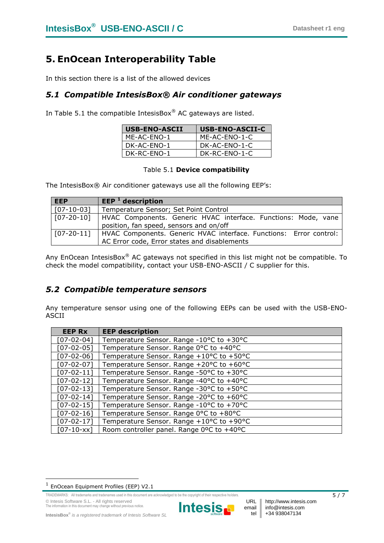## **5. EnOcean Interoperability Table**

In this section there is a list of the allowed devices

#### *5.1 Compatible IntesisBox® Air conditioner gateways*

In [Table 5.1](#page-4-0) the compatible IntesisBox® AC gateways are listed.

| <b>USB-ENO-ASCII</b> | <b>USB-ENO-ASCII-C</b> |
|----------------------|------------------------|
| ME-AC-ENO-1          | ME-AC-ENO-1-C          |
| DK-AC-ENO-1          | DK-AC-ENO-1-C          |
| DK-RC-ENO-1          | DK-RC-ENO-1-C          |

#### Table 5.1 **Device compatibility**

<span id="page-4-0"></span>The IntesisBox® Air conditioner gateways use all the following EEP's:

| <b>EEP</b>       | EEP $1$ description                                                                                                             |
|------------------|---------------------------------------------------------------------------------------------------------------------------------|
| $[07-10-03]$     | Temperature Sensor; Set Point Control                                                                                           |
| $[07 - 20 - 10]$ | HVAC Components. Generic HVAC interface. Functions: Mode, vane<br>position, fan speed, sensors and on/off                       |
|                  | [07-20-11]   HVAC Components. Generic HVAC interface. Functions: Error control:<br>AC Error code, Error states and disablements |

Any EnOcean IntesisBox® AC gateways not specified in this list might not be compatible. To check the model compatibility, contact your USB-ENO-ASCII / C supplier for this.

#### *5.2 Compatible temperature sensors*

Any temperature sensor using one of the following EEPs can be used with the USB-ENO-ASCII

| <b>EEP Rx</b>    | <b>EEP</b> description                    |
|------------------|-------------------------------------------|
| $[07-02-04]$     | Temperature Sensor. Range -10°C to +30°C  |
| $[07 - 02 - 05]$ | Temperature Sensor. Range 0°C to +40°C    |
| $[07-02-06]$     | Temperature Sensor. Range +10°C to +50°C  |
| $[07 - 02 - 07]$ | Temperature Sensor. Range +20°C to +60°C  |
| $[07-02-11]$     | Temperature Sensor. Range -50°C to +30°C  |
| $[07-02-12]$     | Temperature Sensor. Range -40°C to +40°C  |
| $[07-02-13]$     | Temperature Sensor. Range -30°C to +50°C  |
| $[07-02-14]$     | Temperature Sensor. Range -20°C to +60°C  |
| $[07-02-15]$     | Temperature Sensor. Range -10°C to +70°C  |
| $[07-02-16]$     | Temperature Sensor. Range 0°C to +80°C    |
| $[07-02-17]$     | Temperature Sensor. Range +10°C to +90°C  |
| $[07-10-xx]$     | Room controller panel. Range 0°C to +40°C |

#### 1 EnOcean Equipment Profiles (EEP) V2.1

-

TRADEMARKS: All trademarks and tradenames used in this document are acknowledged to be the copyright of their respective holders.  $5/7$ 

© Intesis Software S.L. - All rights reserved The information in this document may change without previous notice.



URL email tel

**IntesisBox**® *is a registered trademark of Intesis Software SL*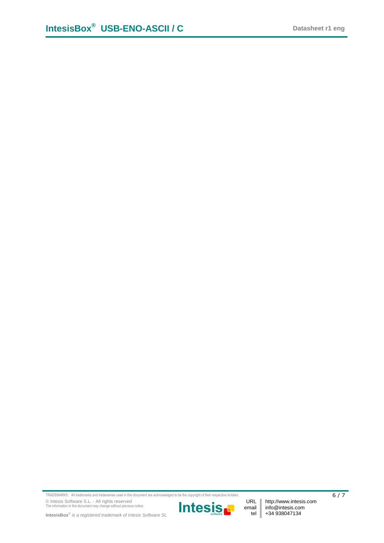TRADEMARKS: All trademarks and tradenames used in this document are acknowledged to be the copyright of their respective holders. 6 / 7 © Intesis Software S.L. - All rights reserved The information in this document may change without previous notice.



URL | http://www.intesis.com info@intesis.com +34 938047134

email tel